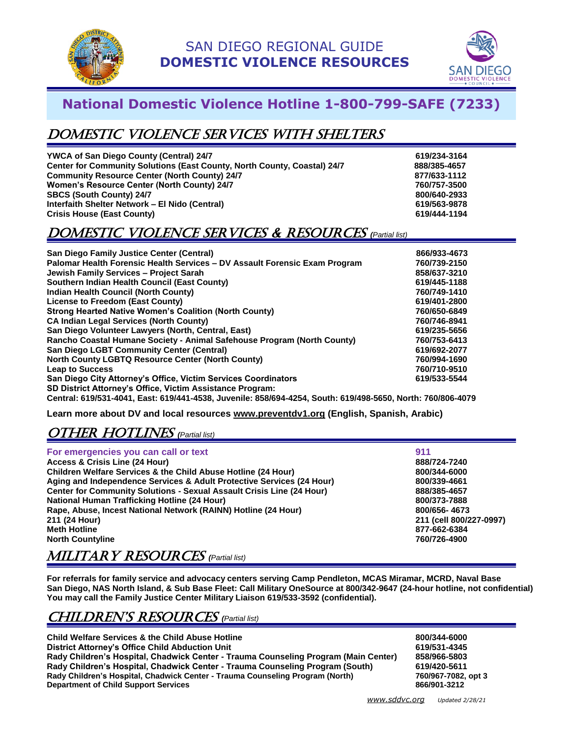



# **National Domestic Violence Hotline 1-800-799-SAFE (7233)**

# Domestic Violence SERVICES with shelters

| <b>YWCA of San Diego County (Central) 24/7</b>                           | 619/234-3164 |
|--------------------------------------------------------------------------|--------------|
| Center for Community Solutions (East County, North County, Coastal) 24/7 | 888/385-4657 |
| <b>Community Resource Center (North County) 24/7</b>                     | 877/633-1112 |
| <b>Women's Resource Center (North County) 24/7</b>                       | 760/757-3500 |
| <b>SBCS (South County) 24/7</b>                                          | 800/640-2933 |
| Interfaith Shelter Network - El Nido (Central)                           | 619/563-9878 |
| <b>Crisis House (East County)</b>                                        | 619/444-1194 |

## Domestic Violence SERVICES & Resources *(Partial list)*

| San Diego Family Justice Center (Central)                                                                   | 866/933-4673 |
|-------------------------------------------------------------------------------------------------------------|--------------|
| Palomar Health Forensic Health Services - DV Assault Forensic Exam Program                                  | 760/739-2150 |
| Jewish Family Services - Project Sarah                                                                      | 858/637-3210 |
| Southern Indian Health Council (East County)                                                                | 619/445-1188 |
| Indian Health Council (North County)                                                                        | 760/749-1410 |
| License to Freedom (East County)                                                                            | 619/401-2800 |
| <b>Strong Hearted Native Women's Coalition (North County)</b>                                               | 760/650-6849 |
| <b>CA Indian Legal Services (North County)</b>                                                              | 760/746-8941 |
| San Diego Volunteer Lawyers (North, Central, East)                                                          | 619/235-5656 |
| Rancho Coastal Humane Society - Animal Safehouse Program (North County)                                     | 760/753-6413 |
| <b>San Diego LGBT Community Center (Central)</b>                                                            | 619/692-2077 |
| <b>North County LGBTQ Resource Center (North County)</b>                                                    | 760/994-1690 |
| <b>Leap to Success</b>                                                                                      | 760/710-9510 |
| San Diego City Attorney's Office, Victim Services Coordinators                                              | 619/533-5544 |
| SD District Attorney's Office, Victim Assistance Program:                                                   |              |
| Central: 619/531-4041, East: 619/441-4538, Juvenile: 858/694-4254, South: 619/498-5650, North: 760/806-4079 |              |

**Learn more about DV and local resources [www.preventdv1.org](http://www.preventdv1.org/) (English, Spanish, Arabic)**

# OtHer hotlines *(Partial list)*

| For emergencies you can call or text                                         | 911                     |
|------------------------------------------------------------------------------|-------------------------|
| Access & Crisis Line (24 Hour)                                               | 888/724-7240            |
| Children Welfare Services & the Child Abuse Hotline (24 Hour)                | 800/344-6000            |
| Aging and Independence Services & Adult Protective Services (24 Hour)        | 800/339-4661            |
| <b>Center for Community Solutions - Sexual Assault Crisis Line (24 Hour)</b> | 888/385-4657            |
| <b>National Human Trafficking Hotline (24 Hour)</b>                          | 800/373-7888            |
| Rape, Abuse, Incest National Network (RAINN) Hotline (24 Hour)               | 800/656-4673            |
| 211 (24 Hour)                                                                | 211 (cell 800/227-0997) |
| <b>Meth Hotline</b>                                                          | 877-662-6384            |
| <b>North Countyline</b>                                                      | 760/726-4900            |

#### MILITARY RESOURCES *(Partial list)*

**For referrals for family service and advocacy centers serving Camp Pendleton, MCAS Miramar, MCRD, Naval Base San Diego, NAS North Island, & Sub Base Fleet: Call Military OneSource at 800/342-9647 (24-hour hotline, not confidential) You may call the Family Justice Center Military Liaison 619/533-3592 (confidential).**

## CHILDREN's RESOURCES *(Partial list)*

**Child Welfare Services & the Child Abuse Hotline 800/344-6000 District Attorney's Office Child Abduction Unit 619/531-4345 Rady Children's Hospital, Chadwick Center - Trauma Counseling Program (Main Center) 858/966-5803 Rady Children's Hospital, Chadwick Center - Trauma Counseling Program (South) 619/420-5611 Rady Children's Hospital, Chadwick Center - Trauma Counseling Program (North) 760/967-7082, program (North) 760/967-7082**, Department of Child Support Services **Department of Child Support Services**